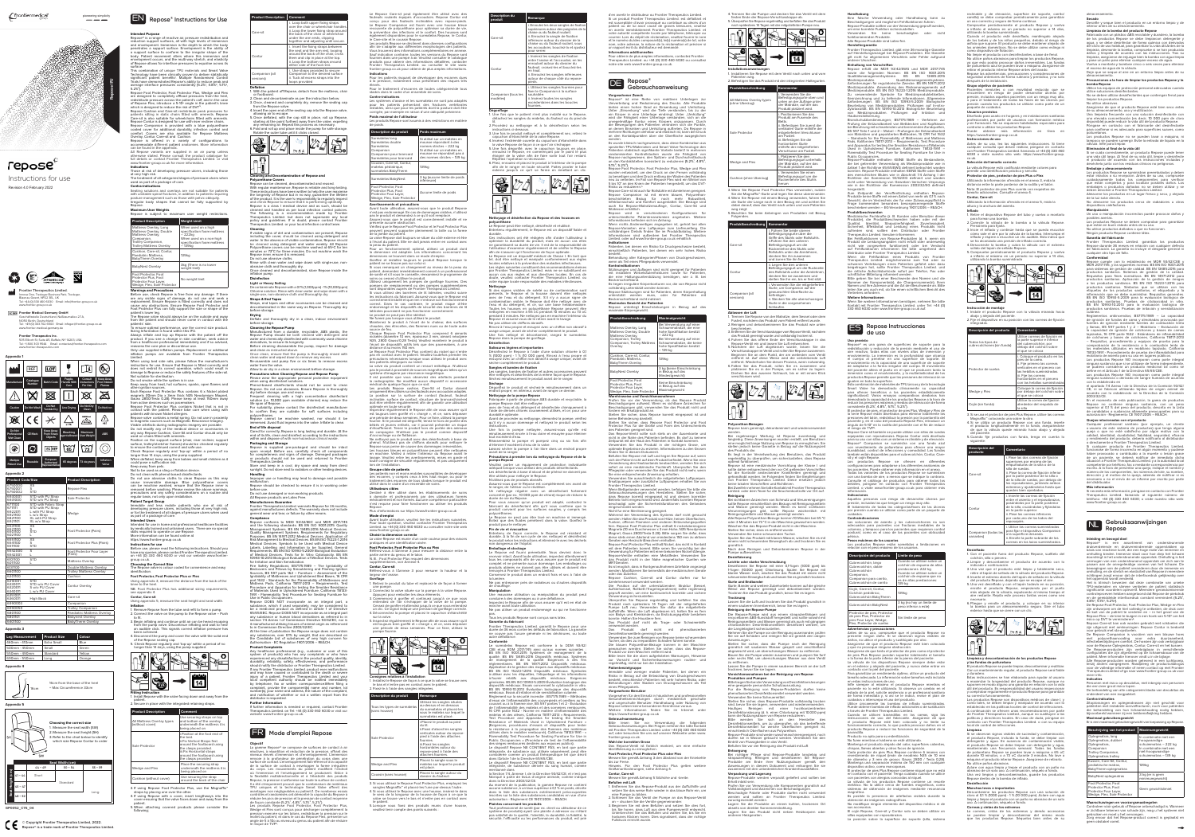# *C* frontiermedical<sup>®</sup>

# ن<br>ابو دو

**Repose IFU**

**FIGUREP** Frontier Medical Germany GmbH tsstelle Deutschland, Nußbaumallee 27 A, 14050 Berlin, Deutschland Tel: +49 (0) 303 702 6500 Email: infoger@frontier-group.co.uk www.frontier-medical-germany.de

> 505 Ellicott St, Suite A5, Buffalo, NY 14203, USA Tel: +1 800 303 9544 Email: contactu frontier-therapeutics.com

**Frontier Therapeutics Inc.**

pioneering simplicity



**Intended Purpose**<br>Repose® is a range of reactive air, pressure redistribution and<br>reduction support surfaces, all with high levels of immersion<br>and envelopment. Immersion is the depth to which the body penetrates a support surface. Envelopment is the ability of a support surface to conform to the irregular shape of the body. Patient movement alters where this immersion and envelopment occurs, and the multi-way stretch, and elasticity epose allows for interface pressures to equalise across it surface. This combination of unique TPU materials and Smart Valve

Technology have been clinically proven to deliver statistically<br>significant patient benefits! Multiple Randomised Control<br>Trials have demonstrated Repose's ability to reduce peak and<br>average interface pressures consistentl Repose Foot Protector, Foot Protector Plus, Wedge and Flex

are designed to completely offload pressures from the heel,<br>redistribute pressure across the patient's calf, and in the case<br>of Repose Flex, introduce a 5-10° angle in the patient's knee which is designed to reduce the risk of DV epose Cushion and Care-sit redistribute peak pressures for patients sitting in static chairs fitted with armrests. Repose Care-sit is also suitable for wheelchairs fitted with armrests. Repose Contur is designed for use with riser recliner chairs.<br>Repose Companion is provided with a blue polyurethane<br>coated cover for additional durability, infection control and<br>Contrly, Contur, Care-sit and Cushion.<br>Overl

otherwise stated. Please consult the product catalogue for<br>full details or contact Frontier Therapeutics Limited. or visit<br>www.frontier-group.co.uk for more information.<br>**Indications** 

# Wedge, Flex, Sole Protector **Warnings and Precautions** Before use, check Repose is free from any damage. If there

are any visible signs of damage, do not use and seek a<br>replacement. Ensure Repose is fitted correctly and does not<br>cause any obstructions. Ensure Repose Foot Protector and<br>Foot Protector Plus can fully support the size or patient's lower leg. The Repose valve should always be on the outside and away from the patient and should never come in contact with the patients' skin. To ensure optimal performance, use the correct size product.

Sizing Information is found within this IFU.<br>Always inflate and top up Repose with the patient off the<br>product. If you see a change in skin condition, seek advice<br>from a healthcare professional immediately and if so advise Limited.<br>When using bed side rails, please follow the manufacturer's<br>instructions for use. Ensure that Repose is fitted correctly and<br>does not restrict its correct operation, which could result in<br>damage to Repose or reduc Not suitable for sterilisation. Do not smoke while the system is in use.

Keep away from heat, hot surfaces, sparks, open flames and other ignition sources.<br>Each Repose Foot Protector Plus contains 6 x Nickel plated Each Repose Foot Protector Plus contains 6 x Nickel plated<br>magnets (10mm Dia x 3mm thick N35 Neodymium Magnet,<br>Gauss 2800/Tesla 0.28). Please keep at least 150mm away<br>from active devices such as pacemakers.<br>Repose Foot Pro

Those at risk of developing pressure ulcers, including those .......<br>at very high ris The treatment of all categories/stages of pressure ulcers when used as part of a package of care. **Contra-indications**

any way. Repose Cushion, Care-Sit and Contur should only be used on chairs fitted with armrests. Position on the support surface (chair, riser recliner, support<br>surface, trolley/stretcher frames) should be checked regularly<br>to ensure the continued correct and safe use.<br>Check Repose regularly and 'top-up' within a peri onger than 14 days, using the pump supplied.

Seating solutions and overlays are not suitable for patients with unstable spinal fractures, in addition to patients requiring posture management of performance. IFREE INTERNATIONAL INTERNATIONAL EXAMPLE CAMPAIGN Repose. **Maximum User Weights**

Do not clean with phenol-based disinfectants.<br>Do not use abrasive cloths to clean Repose as this may<br>cause irreversible damage. Blue polyurethane covers<br>can be machine washed, ensure that the Repose inner is<br>removed before regular basis, not only upon installation. **Patient Target Group**

| Repose is subject to maximum user weight restrictions.                                                                                         |                                                                                                                                    |  |  |
|------------------------------------------------------------------------------------------------------------------------------------------------|------------------------------------------------------------------------------------------------------------------------------------|--|--|
| <b>Product Description</b>                                                                                                                     | <b>Weight Limit</b>                                                                                                                |  |  |
| Mattress Overlay, Long<br>Mattress Overlay, Double<br>Mattress Overlay,<br>Companion.<br>Trolley Companion,<br><b>Trolley Mattress Overlay</b> | When used on a high<br>specification foam mattress<br>– 222ka<br>When used on a non-high<br>specification foam mattress<br>– 139ka |  |  |
| Cushion, Care-sit, Contur,<br>Paediatric Mattress.<br>BabyTherm Overlav                                                                        | 139 <sub>kg</sub>                                                                                                                  |  |  |
| BabyNest Overlav                                                                                                                               | 3kg (There is no lower<br>weight limit)                                                                                            |  |  |
| Foot Protector, Foot<br>Protector Plus, Foot<br>Protector Four Layer,                                                                          | No weight limit                                                                                                                    |  |  |

Intended for use in home and professional healthcare facilities by medically trained and untrained users. There are no special skills required to operate or use Repose. More information can be found online at

# valve is colour coded for convenience and easy identification. **Foot Protector, Foot Protector Plus or Flex**

**Inflation** 1. Remove Repose from the tube and refit to form a pump 2. Connect the valve on the pump to the Repose valve – Push

reclinable y de elevación, superficie de soporte, carrito camilla) se debe comprobar periódicamente para garantizar un uso correcto y seguro de forma continua. Compruebe periódicamente el producto Repose y vuelva a inflarlo al máximo en un periodo no superior a 14 días, utilizando la bomba suministrada. Cuando el producto esté desinflado, manténgalo alejado

de los bebés y de los niños pequeños, debido al riesgo de<br>asfixia que supone. El producto se debe mantener alejado de<br>los animales domésticos. No se debe utilizar como eslinga ni<br>como dispositivo de flotación.<br>No limpie el

pressente animare rec<br>paquete de cuidado **Usuarios previstos** 

Antes de su uso, lea las siguientes instrucciones. Si tiene cualquier consulta que desee realizar, póngase en contacto con Frontier Therapeutics Limited. llamando al +44 (0) 330 460 6030 o visite nuestro sitio web: https://www.fronti

patients with known Nickel allergies. Repose valve contains a metal spring. Do not use in proximity to magnetic sources such as Magnetic Resonance Imager Visible artefacts during radiographic imagery are possible. Do not modify any of the medical device or accessories in

## When deflated, keep away from babies and small children as it could pose a suffocation risk. Keep away from pets. Not to be used as a sling or flotation device.

Coloque la correa de fija or debajo del colchón so el que se coloca

Utilice la correa de fijación alrededor del respaldo de

Immobile and less mobile patients who are at risk of developing pressure ulcers, including those at very high risk, or for the treatment of all stages of pressure ulcers when used as part of a package of care. **Intended Users**

Magnaffix" colocando una sobre la otra.<br>4. Si se utiliza un producto Repose con una funda, inserte el producto longitudinalmente en la funda, asegurándose de que la válvula quede mirando hacia abajo y alejada de que la vál 5. Cuando fije productos con funda, tenga en cuenta lo

> . Pase las dos correas de fijaci superiores por encima de las empuñaduras de la silla o de la

silla de ruedas.<br>ii. Pase la correa de fijación inferior<br>por la parte posterior de la silla o<br>de la silla de ruedas, por debajo de<br>los reposabrazos, juntando ambos<br>extremos y ajustándolos hasta que<br>queden bien apretados.

i. Inserte las correas de fijación<br>entre el asiento y el reposabrazos,<br>pasándolas por la parte posterior<br>de la silla, cruzándolas y fijándolas<br>en la parte superior.<br>ii. Pase las correas inferiores<br>ii. Pase las correas infe

https://www.frontier-group.co.uk **Instructions for use**

Companion (todas las riantes)

# Before use, please read the following instructions. Should you

have any queries, please contact Frontier Therapeutics Limited. on +44 (0) 330 460 6030 or visit our website www.frontier-group.co.uk. **Choosing the Correct Size**

Using appendix 3, measure the distance from the back of the knee to the heel. NB. Foot Protector Plus has additional sizing requirements,

5. Una vez desinflado y con el tapón todavía en su posición, encuence el producto Repose, empezando por el punto más alejado de la válvula, expulsando al mismo tiempo el punto el alternata. Repita este proceso tantas veces 6. Pliegue y enrolle el producto, y coloque en su interio la bomba para un almacenamiento seguro. Gire el tubo exterior hasta que se cierre con un clic.

 $\|\mathcal{D}\|_{\text{max}} \leq \epsilon$ 

see appendix 4. **Contur, Care-sit**  Using appendix 5, measure the seat height and seat width.

> .<br>Estas instrucciones se han elaborado para ayudar al usuario a maximizar la longevidad del producto Repose, aunque no suponen en modo alguno una garantía en relación con la vida útil del producto. Es responsabilidad del usuario inspeccionar y comprobar regularmente el producto Repose para garantizar

to fit. 3.Begin inflating and continue until air can be heard escaping from the pump valve. Discontinue inflating and wait to hear an audible click. This signals correct inflation pressure has

been achieved. 4. Disconnect the pump and cover the valve with the solid end of the Repose sealing cap. 5. Check Repose regularly and 'top-up' within a period of no longer than 14 days, using the pump supplied.



patient. 2.Secure in place with the integrated retaining straps.

> Si se observan signos visibles de suciedad y contaminación<br>el producto Repose, incluida la funda, se debe limpiar co el producto Repose, incluida la funda, se debe limpiar con<br>detergente y agua. En ausencia de contaminación visible,<br>el producto Repose se debe limpiar con detergente y agua,<br>manteniendo una frecuencia semanal. Todas las fu de poliuretano Repose se pueden lavar a máquina a 65 o durante 10 minutos, o a 73 oC durante 3 minutos. No lave a náquina el producto interior Repose. Asegúrese de retirarlo No utilice paños abrasivos. Aclare con agua limpia y limpie el producto con un paño no abrasivo de un solo uso. A continuación, séquelo a fondo. Una vez limpios y descontaminados, guarde los productos Repose dentro de la bomba de inflado.

| <b>Product Description</b>                    | Comment                                                                                                                                                                                                           |
|-----------------------------------------------|-------------------------------------------------------------------------------------------------------------------------------------------------------------------------------------------------------------------|
| All Mattress Overlay types<br>(without cover) | Use securing straps on top<br>and bottom of the overlay<br>underneath the mattress it is<br>being placed on                                                                                                       |
| Sole Protector                                | i.Position at the foot end of<br>the bed.<br>ii.Fix Vertical Straps first<br>around the footboard using<br>the clasps provided.<br>iii.Fix Horizontal straps<br>around the footboard using<br>the clasps provided |
| Wedge and Flex                                | Place the securing strap<br>underneath the mattress it is<br>being placed on                                                                                                                                      |
| Cushion (without cover)                       | Use securing the strap<br>around the back of the chair                                                                                                                                                            |

straps by placing one over the other. 4. If using Repose with a cover, insert lengthways into the cover ensuring that the valve faces down and away from the patient. 5.When attaching covered products please consider the

following;

e almee abrasivos.<br>.segúrese de que el producto Repose esté bien seco antes de su almacenamiento, uso y reutilización. Una limpieza frecuente con una solución desinfectante con una elevada concentración (es decir, 10 000 ppm de cloro disponible) puede reducir la vida útil del producto Repose. Póngase en contacto con el fabricante del desinfectante para confirmar si es adecuado para superficies suaves, como

Si se cuida correctamente, un producto Repose puede tener<br>una vida útil larga. Al final de su vida útil, limpie y desinfecte<br>el producto de acuerdo con las instrucciones incluidas y<br>deséchelo junto con los residuos clínico **Embalaje y almacenamiento**

Los productos Repose se suministran preembalados y deber estar intactos a su recepción. Antes de su uso, compruebe<br>cuidadosamente todos los componentes para verificar<br>que están completos y para localizar posibles daños. Los<br>embalajes o productos dañados no se deben utilizar y se deben devolver a Frontier Therapeutics Limited. Almacene los productos en un lugar fresco y seco, y alejado de la luz solar directa. No almacene los productos cerca de radiadores u otros dispositivos calefactores. **Manipulación**

No utilice paños abrasivos para limpiar los productos Repose, ya que esto podría provocar daños irreversibles. Las fundas de poliuretano azul se pueden lavar a máquina. Asegúrese de retirar el producto interior Repose antes del lavado. Repase las advertencias, precauciones y consideraciones de seguridad anteriores de forma rutinaria y periódica, y no solo después de la instalación.

**Grupo objetivo de pacientes** 

Pacientes inmóviles o con movilidad reducida que se encuentren en riesgo de poder desarrollar úlceras por

o para el tratamiento de todas las fases de las úlceras por presión cuando los productos se utilizan como parte de un

presión, incluidos anteneras pacientes con un riesgo muy alto,

**Conformidad**<br>
Repose cumple con lo establecido en MDR 93/42/CEE y<br>
Repose cumple con lo establecido en MDR 93/42/CEE y<br>
para sistemas de gestión de calidad. ES EN 13485:2016 para<br>
productos sanitarios. Sistemas de gestión BS EN 10993-10:2013 para la evaluación biológica de productos sanitarios. Pruebas de irritación y sensibilización

Diseñado para usarlo en hogares y en instalaciones sanitarias profesionales por parte de usuarios con formación médica y sin formación. No se requieren habilidades especiales para controlar o utilizar los productos Repose. Puede obtener los productos nepose.<br>Puede obtener más información en línea en l https://www.frontier-group.co.uk

**Instrucciones de uso** 

cutánea.<br>Reglamentos antiincendios; BS7175:1989 – La capacidad<br>de ignición de fundas de cama y almohadas provocada por<br>fuentes de ignición mediante fuentes de combustíón lenta<br>y llamas, BS 597 partes 1 y 2 – Mobiliario – E la capacidad de ignición de colchones y bases de camas tapizadas, 16 CFR parte 1632 - Estándares de inflamabilidad de colchones y bases de colchones, California TB117-2013 - Requisitos, procedimiento y equipos de prueba para la<br>comprobación de la resistencia a la combustión lenta de<br>los materiales utilizados en mobiliario tapizado, California<br>TB133-1991 - Procedimiento de prueba de inflamabi mobiliario de asiento para su uso en lugares públicos. Los productos Repose NO incorporan como parte integra inguna sustancia que si se utilizase de forma ind se pudiera considerar un producto medicinal tal como se define en el Artículo 1 de la Directiva 65/65/CEE.

Los productos Repose NO incorporan como parte integral ninguna sustancia o derivado de sangre humana de acuerdo con lo establecido en tado 7.4 Anexo I de la Directiva de la Comisión 93/42

co.uk.

**Selección del tamaño correcto** 

inela para fijarla

**Quejas relacionadas con el producto** Cualquier profesional sanitario (por ejemplo, un cliente<br>o usuario de este sistema de productos) que tenga alguna<br>queja o que no esté satisfecho por algún motivo con la<br>calidad, identidad, durabilidad, fiabilidad, segurida Si cualquier producto de Frontier Therapeutics Limited

funcionase de forma incorrecta en algún momento y pudiese haber provocado o contribuido a la muerte o lesión grave de un paciente, se deberá notificar de inmediato dicha situación a Frontier Therapeutics Limited. y a la autoridad local ompetente por teléfono, fax o mediante correspo escrito. A la hora de presentar una queja, indique el nombre y úmero de los componentes, los números de lote, su nombre dirección y el motivo de la queja, además de notificar si es ecesario o no el envío de un informe por escrito por part el distribuidor

La válvula Repose está codificada mediante colores para permitir una identificación práctica y sencilla. **Protector de pies, protector de pies Plus o Flex** Utilizando la información ofrecida en el anexo 3, mida la distancia entre la parte posterior de la rodilla y el talón. Nota: El protector de pies Plus cuenta con requisitos de tamaño adicionales. Consulte el anexo 4.

**Contur, Care-sit**

Utilizando la información ofrecida en el anexo 5, mida la altura y la anchura del asiento. **Inflado** 1. Retire el dispositivo Repose del tubo y vuelva a montarlo para formar una bomba. 2.Conecte la válvula de la bomba a la válvula Repose.

> Si necesita más información, póngase en contacto con Frontie Therapeutics Limited. llamando al siguiente número de teléfono: +44 (0) 330 460 6030; o visite nuestro sitio web: www.frontier-group.co.uk.

3. Inicie el inflado y continúe hasta que se pueda escuchar cómo sale el aire por la válvula de la bomba. Interrumpa el inflado y espere a escuchar un clic audible. Esto indica que se ha alcanzado una presión de inflado correcta. 4. Desconecte la bomba y cubra la válvula con el extremo

5.Compruebe periódicamente el producto Repose y vuelva a inflarlo al máximo en un periodo no superior a 14 días, utilizando la bomba suministrada

HUNDER

 $\rightarrow$  [14]

**Instrucción de montaje**

odos los tipos de colchones (sin funda)

1. Instale el producto Repose con la válvula mirando hacia abajo y alejada del paciente. 2.Fije el dispositivo en su posición con las correas de fijación

integradas.

sólido del tapón de sellado Repos

 $\frac{1}{\sqrt{2}}$ 

**Descripción del producto Comentario**

Het is klinisch bewezen dat deze combinatie van unieke<br>TPU-materialen en slimme ventielen de patiënt statistisch<br>significante voordelen oplevert! Meerdere gerandomiseerde<br>controleproeven hebben aangetoond dat Repose de pie De Repose Foot Protector, Foot Protector Plus, Wedge en Flex zijn ontworpen om de hiel volledig te ontlasten, de druk over de kuit van de patiënt te verdelen en – in het geval van de Repose Flex – de knie te buigen in een hoek van 5-10º om het

risico op DVT te verminder Repose Care-sit kan ook worden gebruikt met rolstoelen die zijn uitgerust met armleuningen. Repose Contur is bedoeld oor gebruik met sta-opstoelen

De Repose Companion is voorzien van een blauwe hoes<br>met polyurethaancoating voor extra duurzaamheid,<br>infectiebestrijding en comfort. De hoezen zijn ook verkrijgbaar<br>voor de Repose Oplegmatras, Contur, Care-sit en het kusse

Utilice correas de fijación en la parte superior e infer .<br>el cubrecolchón, por debajo del colchón sobre el que se coloca

coloque el producto en le pies de la cama. ii. Fije primero las correas verticales en el piecero con as hebillas suminist iii. Fije las correas ontales en el piece con las hebillas su<mark>m</mark>

Protector de suelas

Wedge y Flex

Alle Repose-producten worden geleverd in een luchtpomp,<br>tenzij anders aangegeven. Raadpleeg de productcatalogus<br>voor de volledige informatie of neem contact op met Frontier<br>Therapeutics Limited of ga naar www.frontier-grou **Indicaties** Personen met risico op decubitus, met inbegrip van personen

la silla 3. Si se usa el protector de pies Plus Repose, utilice las correas

siguiente:

**Waarschuwingen en voorzorgsmaatregelen** Controleer vóór gebruik of Repose onbeschadigd is. Wanneer<br>er zichtbare tekenen van schade zijn, mag u het systeem niet<br>gebruiken en moet u het vervangen.<br>Zorg ervoor dat het Repose-product correct is geplaatst en<br>geen obs

**Descripción del producto Comentario**

Cojín (sin funda)

Care-sit

**Contur** 

4. Trennen Sie die Pumpe und decken Sie das Ventil mit dem festen Ende der Repose-Verschlusskappe ab. 5. Überprüfen Sie Repose regelmäßig und befüllen Sie das Pro

i. Utilice las correas suministradas para fijar el dispositivo Companion a la superficie deseada. ii. Enrolle la parte sobrante de las correas en los lazos suministrados.

**Desinflado** 1. Con el paciente fuera del producto Repose, suéltelo del

colchón, silla o piecero.

2. Limpie y descontamine el producto de acuerdo con lo indicado a continuación. 3. Una vez que el producto esté limpio y totalmente seco, etire el tapón de sellado de la válvula del producto Rep 4. Inserte el extremo abierto del tapón de sellado en la válvula del producto Repose, dejando que se escape el aire.

**Limpieza y descontaminación de los productos Repose** 

Repose kann gereinigt, dekontaminiert und wiederverwendet werden. Bei regelmasiger Wartung ist Repose zuverlassig und langlebig. Diese Anweisungen wurden erstellt, um Benutzern eine moglichst lange Nutzung von Repose zu ermoglichen. Sie stellen jedoch keine Garantie in Bezug auf die Nutzungszeit es Produkts dar

**y las fundas de poliuretano**

El producto Repose se puede limpiar, descontaminar y reutilizar. Con un mantenimiento regular, el producto Repose será fiable

y duradero.

S.

 $\mathbb{R}$ 

su correcto funcionamiento.

Los productos Repose son dispositivos médicos de clase I, y como tales, se deben limpiar y manipular de acuerdo con lo establecido en las políticas locales de control de infecciones.

A continuación se ofrecen unas recomendaciones por parte<br>de Frontier Therapeutics Limited, aunque no sustituyen a las<br>políticas y directrices locales. En caso de duda, póngase en<br>contacto con Frontier Therapeutics Limited.

einem nicht scheuernden Einwegtuch ab und trocknen Sie es grundlich. Nach dem Reinigen und Dekontaminieren Repose in der Pumpe aufbev

**Leichte oder starke Verschmutzung**  Desinfizieren Sie Repose mit einer 0,1-%igen (1.000 ppm) bis 1-%igen (10.000 ppm) Chlorlösung. Spülen Sie Repose mit klarem Wasser nach, wischen Sie das Produkt mit einem nicht scheuernden Einwegtuch ab und lassen Sie es gründlich trockne

**Limpieza**

**Trocknung** Lassen Sie die Luft und trocknen Sie das Produkt grundlich in einem sauberen Innenbereich, bevor Sie es lager

Reinigung der Repose-Pumpe<br>Die Repose-Pumpe wird aus einem strapazierfähigen und<br>Die Repose-Pumpe wird aus einem strapazierfähigen und<br>Reinigungsmitteln und Wasser gereinigt als auch mit gängigen<br>chlorbasierten Desinfektio

nd dangedrighen der der der den mannen.<br>Nehmen Sie die Pumpe vor der Reinigung auseinander, prüfen Sie sie auf Schäden und reinigen Sie sie gemäß den obigen Anweisungen. Stellen Sie sicher, dass die Pumpe nach der Reinigung gründlich mit sauberem Wasser gespült und anschließend abgewischt wird, um überschüssiges Wasser zu entfernen.

**Desinfección**

**Manchas leves e importantes**

Descontamine los productos Repose con una solución de cloro al 0,1 % (1000 ppm) - 1 % (10 000 ppm). Aclare con agua limpia y limpie el producto con un paño no abrasivo de un solo uso. A continuación, séquelo a fondo.

**Correas y cintas de los extremos**

La correas, cintas de los extremos y demás accesorios se pueden limpiar y descontaminar del mismo modo que los productos Repose. Séquelos bien antes de su

**Secado** Desinfle y seque bien el producto en un entorno limpio y de interior antes de su almacenamiento.

**Limpieza de la bomba del producto Repose** Fabricada con un plástico ABS reciclable y duradero, la bomba de los productos Repose se debe limpiarcon detergente y agua, y se debe desinfectar de forma química con derivados del cloro de uso habitual, para garantizar su vida útil.Antes de la limpieza, desmonte la bomba, compruebe si se han producido daños y límpiela de acuerdo con las instrucciones. Tras s limpieza, asegúrese de enjuagar bien la bomba con agua limpia y pase un paño para eliminar cualquier exceso de agua.

Vuelva a montarla y bombee cinco o seis veces para eliminar el exceso de agua de la válvula. Deje que se seque al aire en un entorno limpio antes de su almacenamiento. **Precauciones a la hora de limpiar los productos Repose y la bomba Repose**

Utilice los equipos de protección personal adecuados cuando utilice soluciones desinfectantes. No se deben utilizar desinfectantes que contengan fenol para limpiar los productos Repose. No utilice abrasivos.

poliuretanos. Los productos Repose no se pueden lavar a máquina, ni tampoco se pueden sumergir. Evite la entrada de líquido en la válvula. Infle para limpiar. **Eliminación al final de la vida útil**

Therapeutics Limited. möglicherweise zum Tod oder zu<br>schweren Verletzungen eines Patienten geführt oder dazu<br>beigetragen hat, sollte Frontier Therapeutics Limited. und<br>die örtliche Aufsichtsbehörde sofort per Telefon, Fax schriftlicher Mitteilung informiert werden. Bitte geben Sie bei einer Beschwerde den Namen und die Nummer der Komponente(n), die Chargennummer(n), Ihren Namen und Ihre Adresse und die Art der Beschwerde an. Bitte teilen Sie uns auch mit, ob Sie einen schriftlichen Bericht des

Wenn Sie weitere Informationen benötigen, nehmen Sie bitt takt mit Frontier Therapeutics Limited. unter Tel: +44 (0)

Vertreters anforder **Weitere Informationen**

el riesgo de TVP

Un uso o manipulación incorrectos puede provocar daños y posibles averías. Los productos Repose se deben comprobar para garantizar que están en buen estado antes de su uso. No utilice productos dañados o que no funcionen.

Ningún producto Repose contiene látex.

Garantía del fabricante<br>Frontier Therapeutics Limited. garantiza los productos<br>Repose durante 36 meses en relación con cualquier defecto<br>de fabricación. La garantía no incluye el desgaste general ni<br>cualquier otro tipo de

Repose Care-sit también se puede utilizar con sillas de ruedas equipadas con reposabrazos. Repose Contur está diseñado<br>para su uso con sillas con un sistema reclinable y de elevación

para su uso con sillas con un sistema reclinable y de elevación.<br>Repose® Companion se suministra con una funda azul<br>con revestimiento de poliuretano para ofrecer una mayor<br>durabilidad, control de infecciones y comodidad. L

con una bomba de aire, a menos que se indique lo contrario.<br>Consulte el catálogo de productos para obtener todos los<br>detalles, póngase en contacto con Frontier Therapeutics<br>Limited. o visite www.frontier-group.co.uk para o

Aquellas personas con riesgo de desarrollar úlceras por<br>presión, incluidas las que tengan un riesgo muy alto.<br>El tratamiento de todas las categorías/fases de las úlceras<br>por presión cuando se utilizan como parte de un paqu

**iformación Indicaciones** 

Las soluciones de asiento y los cubrecolchones no adecuados para pacientes con fracturas inestables de la columna, y tampoco para los pacientes que requieran control postural, como es el caso de los pacientes con oblicuidad

Cojín, Care-sit, Contur, Colchón pediátrico, ubrecolchón BabyTher

Antes de su uso, compruebe que el producto Repose no presente ningún daño. Si se observan signos visibles de daños, no utilice el producto y sustitúyalo por otro. Asegúrese de que el producto Repose esté bien colocado y que no provoque ninguna obstrucción.<br>Asegúrese de que tanto el protector de pies como el protector<br>de pies Plus Repose puedan soportar totalmente el tamaño<br>o la forma de la parte inferior de la pierna del paciente.<br>La vá

en el exterior y alejada del paciente, y nunca debe entrar en contacto con la piel del paciente. Para garantizar un rendimiento óptimo, utilice un producto de año adecuado. La información sobre tamaños está incluida

Inflestas instrucciones de dso.<br>Infle siempre al máximo el producto Repose mientras el paciente no lo esté utilizando. Si observa un cambio en e estado de la piel, solicite asistencia a un profesional sanitar de forma inmediata y, si así se le indica, revise el plan de CE, ni se fabrican utilizando tejidos de origen animal de acuerdo con lo establecido en la Directiva de la Comisión 2003/32/CE. En el momento de esta publicación, la gama de productos Repose no contiene ninguna sustancia, con un peso superior al 0,1 % del peso del producto, descrita en la Lista de candidatos a sustancias altamente preocupantes para su autorización - Reglamento CE 1907/2006 – REACH.

ournies dans une pompe à air. Veuillez consulter le catalogu produits pour obtenir des informations détaillées, contacter Frontier Therapeutics Limited. ou consulter le site www. frontier-group.co.uk pour obtenir de plus amples informations. **Indications**  Pour les patients risquant de développer des escarres dues

à la pression, notamment ceux présentant des risques trè: élevés. Pour le traitement d'escarres de toutes catégories/de tous stades dans le cadre d'un ensemble de soins.

**Más información**

# **Gebruiksaanwijzingen Repose** NL

Repose® is een assortiment van ondersteunende<br>drukverdelende en drukverminderende oppervlakken op<br>basis van reactieve lucht, die een hoge mate van immersie en<br>omhulling bieden. Immersie staat voor hoe diep het lichaam doordringt in het ondersteunende oppervlak. Omhulling is het vermogen van een ondersteunend oppervlak om zich aan te<br>passen aan de onregelmatige vormen van het lichaam. De<br>bewegingen van de patiënt veranderen door de inmer

**Inleiding en beoogd doel** 

oatient ne se trouve pas sur celui-ci.<br>Si vous remarquez un changement au niveau de la peau du patient, demandez immédiatement conseil à un professionnel de santé et s'il vous le conseille, réexaminez le programme de soins ou cessez d'utiliser le produit.

soms ou cessez à dimser le produit.<br>Utilisez uniquement les pompes de gonflage fournies. Des pompes de remplacement ou des pompes supplémentaires sont disponibles auprès de Frontier Therapeutics Limited. Si vous utilisez des barrières de lit latérales, veuillez suivre les instructions du fabricant. Assurez-vous que le Repose est orrectement installé et que rien n'entrave son fo correct. Dans le cas contraire, le produit risque d'être endommagé et les dispositifs de sécurité des barrières de lit latérales pourraient ne pas fonctionner correctement. Le produit ne peut pas être stérilisé.

médical de quelque façon que ce soit.<br>Les produits Repose cushion, Care-Sit et Contur doiven uniquement être utilisés sur des fauteuils avec accoudoirs adaptés.<br>La position sur la surface de contact (fauteuil, fauteuil)<br>inclinable, surface de contact, structure de brancard/civière)<br>doit être vérifiée régulièrement Inspectez régulièrement le Repose afin de vous assurer qu'il

st toujours bien gonflé et « chargé », et ce, sans dépas une période de deux semaines. Pour ce faire, utilisez la pompe fournie. Si le produit est dégonflé, tenez-le hors de portée des bébés et jeunes enfants, car il pourrait présenter un risque d'étouffement. Tenez le produit hors de portée des animaux de compagnie. N'utilisez pas le produit comme dispositi

**Utilisateurs cibles**  Destiné à être utilisé dans les établissements de soins<br>à domicile et professionnels par des utilisateurs formés<br>médicalement et non formés. Aucune compétence particulière<br>n'est requise pour faire fonctionner ou utiliser l

> die een zeer groot risico lopen. De behandeling van alle categorieën/stadia van decubitus als onderdeel van een zorgpakket. **Contra-indicaties**

pse.<br>d'informations sur https://www.frontier-group.co.uk **Mode d'emploi** 

> Zitoplossingen en oplegmatrassen zijn niet geschikt voor atiënten met instabiele wervelfracturen, noch voor patiënter die behandeling van hun lichaamshouding nodig hebben, bijvoorbeeld wanneer zij een bekkenafwijking hebben. **Maximaal gebruikersgewicht**  Er is een maximaal gebruikersgewicht van toepassing op Repose.

Référez-vous à l'Annexe 3 pour mesurer la distance entre la partie arrière du genou et le talon. N. B. : Foot Protector Plus requiert des dimensions supplémentaires, voir Annexe 4.<br>**Contur, Care-sit** 

**Contur, Care-sit**<br>Référez-vous à l'Annexe 3 pour mesurer la hauteur et la<br>largeur de l'assise. **Gonflage** 1. Retirez le produit du tube et replacez-le de façon à former

| Beschrijving van het product                                                                                       | <b>Maximumgewicht</b>                                                                                                                 |
|--------------------------------------------------------------------------------------------------------------------|---------------------------------------------------------------------------------------------------------------------------------------|
| Oplegmatras, lang<br>Oplegmatras, dubbel<br>Oplegmatras,<br>Companion<br>Trolley Companion,<br>Oplegmatras trolley | In combinatie met een<br>hoogwaardige<br>schuimmatras - 222 kg<br>In combinatie met een<br>niet-hoogwaardige<br>schuimmatras - 139 kg |
| Kussen, Care-Sit, Contur,<br>pediatrische matras,<br>BabyTherm-oplegmatras                                         | 139ka                                                                                                                                 |
| BabyNest oplegmatras                                                                                               | 3 kg (er is geen<br>minimumgewicht)                                                                                                   |
| Foot Protector, Foot<br>Protector Plus, Foot<br>Protector Four Layer,<br>Wedge, Flex, Sole Protector               | Geen gewichtslimiet                                                                                                                   |

**Consignes relatives à l'installation** 1. Installez le Repose de façon à ce que la valve se trouve vers le bas et n'entre pas en contact avec le patient. 2.Fixez-le à l'aide des sangles intégrées. **Description du produit** | Remarque

**BORDER** 

 $\rightarrow$  [14]

Tous les types de surr (sans housse)

Utilisez les sangles situées au-dessus et en dessous du surmatelas et placez-les sous le matelas sur lequel le <u>irmatelas est place.</u>

Sole Protecto

Placez le produit au pie du lit. ii.Fixez d'abord les sangles verticales autour du repose-pied à l'aide des attaches fournies. iii.Fixez les sangles horizontales autour du repose-pied à l'aide des aches fournies.

Placez la sangle sous le itelas sur lequel le prod



**Installationsanweisungen** 1. Installieren Sie Repose mit dem Ventil nach unten und vom Patienten weg. 2.Befestigen Sie das Produkt mit den integrierten Haltegurten.

starting at the point furthest away from the valve, expelling any remaining air. Repeat this process as necessary. 6.Fold and roll up and place inside the pump for safe storage. Rotate the outer tube until it clicks closed



| Produktbeschreibung                          | Kommentar                                                                                                                                                                                                                                                                                    |  |
|----------------------------------------------|----------------------------------------------------------------------------------------------------------------------------------------------------------------------------------------------------------------------------------------------------------------------------------------------|--|
| All Mattress Overlay types<br>(ohne Uberzug) | i. Verwenden Sie die<br>Befestigungsgurte oben und<br>unten an der Auflage unter<br>der Matratze, auf der das<br>Produkt platziert wird.                                                                                                                                                     |  |
| Sole Protector                               | i. Positionieren Sie das<br>Produkt am Fusende des<br><b>Retts</b><br>ii. Befestigen Sie zuerst die<br>vertikalen Gurte mithilfe der<br>mitgelieferten Verschlusse<br>am Fusteil.<br>iii. Befestigen Sie die<br>horizontalen Gurte<br>mithilfe der mitgelieferten<br>Verschlusse am Fusteil. |  |
| Wedge and Flex                               | i. Platzieren Sie den<br>Befestigungsgurt unterhalb<br>der Matratze, auf der das<br>Produkt platziert wird.                                                                                                                                                                                  |  |
| Cushion (ohne Uberzug)                       | i. Verwenden Sie einen<br>Befestigungsgurt um die<br>Ruckenlehne des Stuhls<br>herum                                                                                                                                                                                                         |  |

3. Wenn Sie Repose Foot Protector Plus verwenden, nutzen iaffix™-Gurte und legen Sie diese ub 4. Wenn Sie Repose mit einem Bezug verwenden, fuhren Sie die Gurte der Lange nach in den Bezug ein und achten Sie dabei darauf, dass das Ventil nach unten und vom Patienten weg zeigt. 5.Beachten Sie beim Anbringen von Produkten mit Bezug

**Cleaning**<br>If visible signs of dirt and contamination are present, Repose<br>including the cover, should be cleaned using detergent and<br>water. In the absence of visible contamination, Repose should<br>be cleaned using detergent Polyurethane covers can be machine washed at 65°C for ten<br>minutes or 73°C for three minutes. Do not machine wash the<br>Repose inner, ensure it is removed. Do not use abrasive cloths.

Folgendes. **Produktbeschreibung Kommentar**

|  | Care-sit                    | i. Führen Sie beide oberen<br>Befestigungsgurte über die<br>Griffe des Stuhls oder Rollstuhls.<br>ii.Führen Sie den unteren<br>Befestigungsgurt um die<br>Rückenlehne des Stuhls oder<br>Rollstuhls unter die Armlehnen.<br>stecken Sie ihn zusammen<br>und zurren Sie ihn fest. |  |
|--|-----------------------------|----------------------------------------------------------------------------------------------------------------------------------------------------------------------------------------------------------------------------------------------------------------------------------|--|
|  | Contur                      | ii. Legen Sie den unteren<br>Befestigungsgurt um die Ruckseite<br>des Rollstuhls unter die Armlehnen,<br>stecken Sie sie zusammen und<br>stellen Sie ihn ein, bis er fest sitzt.                                                                                                 |  |
|  | Companion (all<br>versions) | i. Verwenden Sie die mitgelieferten<br>Gurte, um Companion auf der<br>gewunschten Oberflache zu<br>befestigen.<br>ii. Stecken Sie alle uberschussigen<br>Gurte in die vorgesehenen<br>Schlaufen.                                                                                 |  |

Manufactured from a durable, recyclable, ABS plastic, the<br>Repose Pump should be both cleaned with detergent and<br>water and chemically disinfected with commonly used chlorine<br>derivatives, to ensure its longevity.<br>Before clea clean water and wiped down to remove any excess. Re-assemble and pump five or six times to remove excess water from the valve.

polyurethanes. Repose cannot be machine washed, nor should it be immersed. Avoid fluid ingress into the valve. Inflate to clean. **End of life disposal**<br>Cared for correctly, Repose is long lasting and durable. At the<br>end of its life, clean and disinfect according to the instructions<br>within and dispose of with non-hazardous clinical waste. **Ablassen der Luft** 1. Trennen Sie Repose von der Matratze, dem Sessel oder dem Fusteil, nachdem das Produkt vom Patient entfernt wurde. 2.Reinigen und dekontaminieren Sie das Produkt wie unten

beschrieben. 3. Entfernen Sie die Verschlusskappe vom Repose-Ventil, nachdem das Produkt gereinigt wurde und vollstandig trocken ist.

4. Fuhren Sie das offene Ende der Verschlusskappe in das Repose-Ventil ein und lassen Sie Luft entweichen. 5.Nachdem die Luft abgelassen wurde, lassen Sie die Verschlusskappe im Ventil und rollen Sie Repose zusammen. Beginnen Sie an dem Punkt, der am weitesten vom Ventil entfernt ist. Auf diese Weise wird die verbleibende Luft

entfernt. Wiederholen Sie diesen Prozess, wenn notwendig.<br>6. Falten Sie das Produkt, rollen Sie es zusammen und<br>platzieren Sie es in der Pumpe, um es sicher zu lagern.<br>Drehen Sie den auseren Schlauch, bis er mit einem Klic



All Repose products are Latex Fre **Manufacturers Guarantee**

**Polyurethan-Bezugen**

Es liegt in der Verantwortung des Benutzers, das Produkt regelmäßig zu überprüfen, um sicherzustellen, dass Repose optimal funktioniert. Repose ist eine medizinische Vorrichtung der Klasse I und

sollte daher entsprechend den vor Ort geltenden Vorschriften<br>für die Kontrolle ansteckender Krankheiten gereinigt und<br>gehandhabt werden. Im Folgenden finden Sie Empfehlungen<br>von Frontier Therapeutics Limited. Diese ersetze

At the time of publication the Repose range does not contain<br>any substances, over 0.1% by weight, that are described on<br>the Candidate List of substances of very high concern for<br>Authorisation - EC Regulation 1907/2006 – RE **Product Complaints** Any healthcare professional (e.g., customer or user of this

system of products) who has any complaints or who have experienced any dissatisfaction in the product quality, identity, should not be unity that contains the container of the distribution of distribution of the distributor or Frontier Therapeutics Limited. should notify the distributor or Frontier Therapeutics Limited.<br>If any Frontier Therapeutics Limited, product ever malfunctions<br>and may have caused or contributed to the death or severe<br>injury of a patient, Frontier Therap **Reinigung** Bei sichtbaren Anzeichen von Schmutz und Verunreinigungen soltte Repose einschließlich des Bezugs mit Reinigungsmitteln<br>und Wasser gereinigt werden. Wenn es keine sichtbaren<br>Verunreinigungen gibt, sollte Repose wöchentlich mit<br>Reinigungsmitteln und Wasser gereinigt werden.<br>Alle R Alle Repose Polyurethan-Bezuge konnen 10 Minuten bei 65 °<br>oder 3 Minuten bei 73 °C in der Maschine gewaschen werder Waschen Sie das Repose-Produkt nicht in der Maschine.

Stellen Sie sicher, dass es entfernt wurde. Verwenden Sie keine scheuernden Tucher. Spulen Sie das Produkt mit klarem Wasser, wischen Sie es mit

**Desinfizierung**

**Objectif**<br>La gamme Repose® se compose de surfaces de contact à air<br>réactives, à répartition et réduction de la pression, offrant des<br>niveaux élevés d'immersion et d'enveloppement. L'immersion<br>renvoie à la profondeur de pé surface de contact. L'enveloppement fait référence à la capacité<br>de la surface de contact à envelopper la forme irrégulière<br>du corps. Les mouvements du patient modifient l'endroit<br>où l'immersion et l'enveloppement se produ Il a été cliniquement prouvé que la combinaison de matériaux TPU uniques et la technologie Smart Valve offrent des avantages non négligeables au patient.1. De nombreux essais contrôlés et randomisés ont démontré la capacité du Repose à réduire les pics de pression et la pression de contact moyenne<br>de façon constante (5,2%', 4,8%?, 5,1%<sup>3</sup>, 5,2%'').<br>Les produits Repose Foot Protector, Foot Protector Plus, Wedge et Flex sont conçus pour décharger complètement la pression exercée sur les talons, redistribuer la pression sur le mollet du patient, et dans le cas du Repose Flex, présenter un angle de 5 à 10o au niveau du genou du patient afin de réduire

le risque de TVP

Le Repose Care-sit peut également être utilisé avec des<br>fauteuils roulants équipés d'accoudoirs. Repose Contur est<br>conçu pour des fauteuils inclinables avec repose-pieds.<br>Le Repose Companion est fourni avec un e house bleu

**Gurte und Endbander** Gurte, Bander und weitere Zubehorteile konnen auf die gleiche Weise wie Repose gereinigt und dekontaminiert werden. Trocknen Sie das Produkt grundlich, bevor Sie es lagern.

ompanion (tous les modèles)

**&** 21

1. Une fois que le patient n'est plus installé sur le Repose ez les sangles du matelas, du fauteuil ou du pied de lit. 2.Procédez au nettoyage et à la désinfection selon les

instructions ci-dessous.<br>3. Une fois le produit nettoyé et complètement sec, retirez le<br>capuchon d'étanchéité de la valve Repose.<br>4. Insérez l'extrémité ouverte du capuchon d'étanchéité dans<br>5. la valve Repose de façon à c 5.Une fois dégonflé, avec le capuchon toujours en place,

> Bauen Sie die Pumpe wieder zusammen und pumpen Sie funf oder sechs Mal, um uberschussiges Wasser aus dem Ventil zu entfernen. Lassen Sie die Pumpe in einem sauberen Bereich an der Luft trocknen, bevor Sie sie lagern. **Vorsichtsmasnahmen bei der Reinigung von Repose-**

> **Produkten und Pumpen** Bitte tragen Sie bei der Verwendung von Desinfektionslosungen eine geeignete personliche Schutzausrustung. Fur die Reinigung von Repose-Produkten durfen keine

Nettoyage<br>Si des signes visibles de saleté ou de contamination sont<br>Si des signes visibles de la housse doivent être nettoyés<br>avec de l'eau et du détergent. S'il n'y a aucun signe de<br>contamination visible, le Repose doit ê Repose et assurez-vous de le retirer avant le lavage. Ne pas utiliser de chiffons abrasifs.

Rincez à l'eau propre et essuyez avec un chiffon non abrasif à usage unique, avant de sécher complètement le produit. Une fois nettoyé et décontaminé, rangez le surmatelas epose dans la pompe de gonflage.

> phenolbasierten Desinfektionsmitel verwendet werden. Verwenden Sie keine Scheuermittel. Stellen Sie sicher, dass Repose-Produkte vollstandig trocken sind, bevor Sie sie lagern, verwenden und wiederverv Haufiges Reinigen mit einer hochkonzentrierten Desinfektionslosung (d. h. einer Chlorlosung mit 10.000 ppm) kann die Nutzungsdauer von Repose reduzieren. Bitte wenden Sie sich an den Hersteller des Desinfektionsmittels, um zu uberprufen, ob das betreffende Desinfektionsmittel fur weiche Oberflachen geeignet ist,

cher complètement le produi **Sangles et bandes de fixation**

> einschlieslich Oberflachen aus Polyurethan. Repose-Produkte sind weder waschmaschinengeeignet, noch durfen sie in Wasser getaucht werden. Vermeiden Sie den Eintritt von Flussigkeiten in das Ventil. Befullen Sie vor der Reinigung das Produkt mit Luft

> **Entsorgung** Bei richtiger Pflege sind Repose-Produkte langlebig und

strapazierfahig. Reinigen und desinfizieren Sie Repose-Produkte am Ende ihrer Nutzungsdauer gemäß den Anweisungen in diesem Dokument und entsorgen Sie sie zusammen mit den unbedenklichen Krankenhausabfällen.

**Verpackung und Lagerung** Repose-Produkte werden verpackt geliefert und sollten bei Erhalt intakt sein. Prufen Sie vor Verwendung alle Komponenten grundlich auf Vollstandigkeit und Anzeichen von Beschadigungen. Beschadigte Pakete oder Produkte durfen nicht verwendet werden und sollten an Frontier Therapeutics Limited. zuruckgesendet werden. Lagern Sie die Produkte an einem kuhlen, trockenen Ort abseits von direkter Sonneneinstrahlung. Lagern Sie das Produkt nicht neben Heizkorpern oder

produit pour le nettove **Fin de vie et évacuation**

anderen Heizgeraten.

**Handhabung** Eine falsche Verwendung oder Handhabung kann zu Beschadigungen und moglichen Fehlfunktionen fuhren. Repose-Produkte sollten vor der Verwendung gepruft werden, um eine korrekte Funktion sicherzustellen. Verwenden Sie keine beschadigten oder nicht

envoyés à Frontier Therapeutics Limited Conservez le produit dans un endroit frais et sec à l'abri de la lumière. Ne pas entreposer près de radiateurs ou d'autres dispositifs de chauffage.

funktionierenden Produkte. Alle Repose-Produkte sind Latex-frei. **Herstellergarantie**

verwendende Symbole für Med

Frontier Therapeutics Limited. gibt eine 36-monatige Garantie auf Herstellungsmangel bei Repose-Produkten. Die Garantie gilt nicht fur allgemeinen Verschleis oder Fehler aufgrund anderer Ursachen. **Einhaltung von Vorschriften**

à utiliser avec les étiquettes, l'étiquetage et les informations à fournir relatifs aux dispositifs médicaux. Exigences générales. BS EN ISO 10993-5:2009 Évaluation biologique des dispositifs médicaux. Essais concernant la cytotoxicité in vitro. BS EN 10993-10:2013 Évaluation biologique des dispositifs médicaux. Essais d'iritation et de sensibilisation cutanée.<br>Règlement sur la sécurité incendie : BS7175:1989 – Méthodes<br>d'essai de l'inflammabilité des couvrepieds et oreillers au feu<br>couvant ou à la flamme vive, BS 597 pa

Repose erfüllt die MDR 93/42/EWG und MDR 2017/745 sowie die folgenden Normen: BS EN ISO 9001:2015 Qualitätsmanagementsysteme. BS EN 13485:2016 Medizinprodukte. Qualitätsmanagementsysteme. Anforderungen für regulatorische Zwecke. BS EN 14971:2012 Medizinprodukte. Anwendung des Risikomanagements auf Medizinprodukte. BS EN ISO 15223-1:2016 Medizinprodukte.

Kennzeichnung und zu liefernde Informationen. Allgemeine Anforderungen. BS EN ISO 10993-5:2009 Biologische Beurteilung von Medizinprodukten. Prüfungen auf In-vitro-<br>Zytotoxizität. BS EN 10993-10:2013 Biologische Beurteilung<br>von Medizinprodukten. Prüfungen auf Irritation und Hautsensibilisierung. Brandschutzbestimmungen; BS7175:1989 – Verfahren zur Prufung der Entzundbarkeit von Bettdecken und Kopfkissen bei Beruhrung mit schwelenden und brennenden Zundquellen, BS 597 Teile 1 und 2 – Mobel – Prufungen der Entzundbarkeit

von Matratzen und gepoisterten Bettböden, 16 CFR Teil 1632<br>– Standards for the Flammability of Mattresses and Mattress<br>Pads, Kalifornien TB117-2013 – Requirements, Test Procedure<br>and Apparatus for testing the Smolder Resis

Repose-Produkte enthalten KEINE Stoffe als Bestandteile, die bei getrennter Verwendung als Medizinprodukte wie in Artikel 1 der Richtlinie 65/65/EWG definiert betrachtet warden konnten. Repose-Produkte enthalten KEINE Stof

hergestellt.<br>Zum Zeitpunkt der Veroffentlichung enthalten Repose-<br>Produkte keine Stoffe mit einem Anteil von mehr als 0,1% nach<br>Gewicht, die im Verzeichnis der fur eine Zulassungspflicht in<br>Frage kommenden besonders besorg

fabriqué à partir de tissus d'origine animale, comme indiqué dans la Directive 2003/32/CE. Au moment de la publication, la gamme Repose ne contient aucune substance, à un taux supérieur à 0,1 % en poids, décrite<br>dans la lliste des substances extrêmement préoccupantes<br>inscrites sur la liste des substances candidates en vue d'une<br>autorisation - Règlement CE 1907/2006 –

système de produits) ayant une plainte à adresser ou n'étant pas satisfait de la qualité, l'identité, la durabilité, la fiabilité, la sécurité, l'efficacité ou les performances du produit, est prie

**Vorgesehener Zweck** Repose® ist eine Reihe von reaktiven Unterlagen zur Umverteilung und Reduzierung des Drucks. Alle Produkte bieten einen hohen Grad an Einsenkung und Umhüllung. Unter "Einsenkung" wird die Tiefe verstanden, bis zu der ein Körper in eine Unterlage eindringt. Unter "Uml wird die Fähigkeit einer Unterlage verstanden, sich an di regelmäßige Kontur eines Körpers anzupassen. die Bewegungen des Patienten verändern sich die Punkte, an denen Einsinken und Umhüllung auftreten. Da Repose in mehrere Richtungen dehnbar und elastisch ist, kann der Druck an den Kontaktpunkten über die Oberfläche ausgeglicher

werden. Es wurde klinisch nachgewiesen, dass diese Kombination aus iellen TPU-Materialien und Smart Valve-Technologie de Patienten statistisch signifikante Vorteile bietet.1 In mehreren randomisierten Kontrollstudien wurde die Fähigkeit von Repose nachgewiesen, den Spitzen- und Durchschnittsdruck an den Kontaktstellen konsistent zu reduzieren (5.2%1 , 4.8%2, 5.1%3 , 5.2%4 ). Repose Foot Protector, Foot Protector Plus, Wedge und Flex wurden entwickelt, um den Druck an den Fer zu beseitigen und den Druck entlang der Waden des Patienten neu zu verteilen. Im Fall von Repose Flex wird ein Winkel von 5 bis 10° an den Knien der Patienten hergestellt, um das DVT-

**Produktbeschwerden**

Medizinische Fachkrafte (z. B. Kunden oder Benutzer dieser<br>Produkte), die Produktbeschwerden haben oder mit der<br>Qualitat, Identitat, Strapazierfahigkeit, Zuverlassigkeit, Sicherheit, Effektivitat und Leistung eines Produkt

Risiko zu reduzieren.<sup>5</sup><br>Repose Care-sit ist auch für Rollstühle mit Armlehnen geeignet. Repose Companion ist mit einem blauen, Polyurethan-beschichteten Bezug für noch mehr Robustheit, Infektionsschutz und Komfort ausgestattet. Die Bezüge sind auch für Repose-Matratzenauflage, Contur, Care-Sit und

Sitzkissen erhältlich.<br>Repose wird in verschiedenen Konfigurationen für<br>unterschiedliche Patientenanatomien angeboten. Weitere<br>Informationen befinden sich im Anhang.<br>Wenn nichts Anderweitiges angegeben ist, gehört bei alle Limited. oder auf www.frontier-group.co.uk erhältlich. **Indikationen** 

Wedge, Flex, Sole Protector **Warnhinweise und Vorsichtsmasnahmen** Prufen Sie vor der Verwendung, ob das Repose Produkt Beschadigungen aufweist. Wenn es sichtbare Anzeichen fur Beschadigungen gibt, verwenden Sie das Produkt nicht und fordern ein Ersatzprodukt an. ern ein Ersatzprodukt an.<br>Ien Sie sicher, dass Repose korrekt eingepasst ist und 330 460 6030 oder www.frontier-group.co.uk auf.

**Repose Instrucciones de uso** ES

**Uso previsto**  Repose® es una gama de superficies de soporte para la redistribución y reducción de la presión mediante el uso de aire reactivo, todas ellas con niveles altos de inmersión y

envolvimiento. La inmersión es la profundidad que alcanza<br>el cuerpo al penetrar en una superficie de soporte. El<br>envolvimiento es la capacidad de una superficie de soporte<br>de adaptarse a la forma irregular del cuerpo. El m

productos Repose permite que las presiones de interacción se<br>igualen en toda la superficie.<br>Esta combinación de materiales de TPU únicos y de la tecnología<br>Smart Valve ha demostrado clínicamente su capacidad<br>para ofrecer b

reducir las presiones máximas y medias de interacción de forma<br>consistente (5.2%<sup>1</sup>, 4.8%<sup>2</sup>, 5.1%<sup>3</sup>, 5.2%<sup>4</sup>). El protector de pies, el protector de pies Plus, Wedge y Flex de la serie Repose están diseñados para eliminar total siones del talón, redistribuir la presión por la pantorrilla de paciente y, en el caso del producto Repose Flex, introducir un ángulo de 5-10° en la rodilla del paciente con el fin de reduci

des Patienten geeignet sind. Das Repose-Ventil sollte sich stets an der Ausenkante und nicht in der Nahe des Patienten befinden. Es darf zu keinem Zeitpunkt mit der Haut des Patienten in Kontakt kommen. Verwenden Sie das Produkt in der richtigen Grose, um optimale Ergebnisse zu erzielen. Informationen zu den Grosen finden Sie in diesem Dokument. Befullen Sie Repose mit Luft und legen Sie Repose auf, wenn sich der Patient nicht auf dem Produkt befindet. Wenn Veranderung des Hautzustands beobachten, wenden Sie sich sofort an eine medizinische Fachkraft. Uberprufen Sie den r eine mealzinische Faenklan. Oberpraten Sie de<br>In oder verwenden Sie das Produkt nicht mehr, wen

werden. Halten Sie das Produkt von Hitze, heisen Funken, offenen Flammen und anderen Entzundungsquellen fern. Repose Foot Protector Plus enthalt 6 nickeluberzogene Magnete (10 mm Durchmesser x 3 mm Hohe, N35 Neodymium Magnet, Gauss 2800/Tesla 0.28). Bitte sorgen Sie dafur, dass diese stets einen Abstand von mindestens 150 mm zu aktiven Geraten wie Herzschrittmachern einhalten. Repose Foot Protector Plus enthalt Nickel, das nicht in Kontakt

oder das Zubehor. Repose Cushion, Care-sit und Contur durfen nur fur Armlehnsessel verwendet werden.<br>Die Position auf der unterstutzenden Struktur (Sessel,<br>Aufstehsessel, Rollbett-/Trageliegerahmen) sollte regelmasig<br>gepruft werden, um eine kontinuierlich korrekte und sichere

iwendung sicherzustellen. Überprüfen Sie Repose regelmäßig und befüllen Sie das Produkt nach spätestens 14 Tagen mit der mitgelieferten

Die blauen Polyurethan-Bezuge konnen in der Maschine chen werden. Stellen Sie sicher, dass das Repose Produkt vor dem Waschen entfernt wird. Bitte lesen Sie die oben aufgelisteten Warnungen, Hinweis eisungen routine- und gelmäßig, nicht nur bei der Installation.

ssen Sie gemäß Anhang 3 den Abstand von der Kniekehle bis zur Ferse. Hinweis. Für den Foot Protector Plus gelten weitere Größenanforderungen, siehe Anhang 4.

an – drucken Sie die Ventile gegeneinander. 3.Beginnen Sie mit dem Befullen und setzen Sie dies fort, bis Sie horen, dass Luft aus dem Pumpenventil entweicht. Unterbrechen Sie das Befullen und warten Sie, bis Sie ein horbares Klicken horen. Dies signalisiert, dass der richtige<br>Fulldruck erreicht wurde.

**Contraindicaciones** 

© Copyright Frontier Therapeutics Limited, 2022. Fulldruck erreicht wurde. All des andle and the security of the company of the security of the security of the security of the security of the security of the security of th **Repose® is a trade mark of Frontier Therapeutics Limited.**

pélvica.

**Pesos máximos de los usuarios** 

Los productos Repose están sometidos a limitaciones en

relación con el peso máximo de los usuarios. **Descripción del producto Límite de peso**

Cubrecolchón, largo Cubrecolchón, doble ıbrecolchón ompanion, Companion para carrito, Cubrecolchón de carrito Cuando se utilizan sobre un ıón de espuma de alt aciones: 222 kg uando se utilizan sobre hón de espuma que n es de altas prestaciones:

inferior a este)

139 kg

 $39<sub>ka</sub>$ 

 $\frac{3 \text{ kg}}{\text{base}}$ lbrecolchón BabyNest  $\frac{3 \text{ kg}}{\text{base}}$  inferior a estel

Instructions for use Revision 4.0 February 2022



**Frontier Therapeutics Limited.**<br>Innova One, Tredegar Business Park, Tredegar,<br>Blaenau Gwent, NP22 3EL, UK<br>Tel: +44 (0) 330 460 6030 Email: info@frontier-group.co.uk<br>www.frontier-group.co.uk

Protector de pies, Protector de pies Plus, Protector de ies Four Layer, Wedge, Flex, Protector de suelas

Sin límite de peso

**Advertencias y precauciones** 

# **Repose® Instructions for Use** EN

en estas instrucciones de uso.

cuidados o interrumpa el uso del producto.

Utilice únicamente las bombas de inflado suministradas. Puede obtener bombas de inflado adicionales o de sustitución

Cuando se utilicen barandillas en las camas, siga las<br>instrucciones de uso del fabricante. Asegúrese de que<br>el producto Repose esté bien colocado y no límite su<br>funcionamiento correcto, lo que podría provocar daños en el<br>p

a través de Frontier Therapeutics Limited.

Producto no apto para su esterilización. No fume mientras el sistema se esté utilizando.

positivo activo, como marcapasos

Mantenga el producto alejado del calor, superficies calientes, chispas, llamas abiertas y otros focos de ignición. Cada protector de pies Plus Repose contiene 6 imanes con revestimiento de níquel (imán de neodimio N35 de 10 mm de diámetro y 3 mm de grosor, Gauss 2800 / Tesla 0,28). Mantenga una separación mínima de 150 mm con cualquier

El protector de pies Plus Repose contiene níquel que no está<br>en contacto con el paciente. Tenga cuidado cuando se utilice<br>con pacientes con alergias conocidas al níquel.<br>La válvula de los productos Repose contiene un resor

magnética. Es posible la presencia de artefactos visibles durante la

obtención de imágenes radiográficas.

No modifique ningún elemento del dispositivo médico ni de sus accesorios. El cojín Repose, Care-sit y Contur solo se deben utilizar en sillas equipadas con reposabrazos. La posición sobre la superficie de soporte (silla, sistema

**Contre-indications** Les systèmes d'assise et les surmatelas ne sont pas adaptés pour les patients présentant des fractures vertébrales instables, ainsi que pour les patients dont la posture doit être corrigée, par exemple en raison d'une obliquité pelvienne. **Poids maximal de l'utilisateur**  Les produits Repose sont soumis à des restrictions en matière de poids.

| <b>Description du produit</b>                                                                                          | Poids maximum                                                                                                                                                                   |  |  |
|------------------------------------------------------------------------------------------------------------------------|---------------------------------------------------------------------------------------------------------------------------------------------------------------------------------|--|--|
| Surmatelas long<br>Surmatelas double<br>Surmatelas<br>Companion<br>Companion pour brancard<br>Surmatelas pour brancard | Si utilisé sur un matelas en<br>mousse répondant à des<br>normes strictes - 222 kg<br>Si utilisé sur un matelas en<br>mousse ne répondant pas à<br>des normes strictes - 139 kg |  |  |
| Coussin, Care-sit, Contur,<br>matelas pédiatrique,<br>surmatelas BabyTherm                                             | 139 <sub>kg</sub>                                                                                                                                                               |  |  |
| Surmatelas BabyNest                                                                                                    | 3 kg (aucune limite de poids<br>inférieure)                                                                                                                                     |  |  |
| Foot Protector, Foot<br>Protector Plus, Foot                                                                           | Aucuno limito do noide                                                                                                                                                          |  |  |

Protector Four Layer, Wedge, Flex, Sole Protector Aucune limite de poid **Avertissements et précautions**

.<br>Avant toute utilisation, assurez-vous que le produit Repose<br>n'est pas endommagé. En cas de dommages visibles, n'utilise: n'est pas endommagé. En cas de dommages visibles, n'utilisez pas le produit et demandez à ce qu'il soit remplacé. Assurez-vous que le produit est correctement installé et ne présente aucune obstruction.<br>
Vérifiez que le Repose Foot Protector et le Foot Protector Plus<br>
peuvent peuvent supporter pleinement la taille ou la forme<br>
de la jambe du patient.<br>
La valve Repose doit toujours se situer du

Ne fumez pas lorsque vous utilisez le produit.

Maintenez le produit à l'écart de la chaleur, des surfaces chaudes, des étincelles, des flammes nues ou de toute autre surce de feu source de ieu.<br>Chaque Repose Foot Protector Plus comprend 6 aimants nickelés (diamètre 10 mm, épaisseur 3 mm, aimant néodyme N35, 2800 Gauss/0,28 Tesla). Veuillez maintenir le produit à l'écart de dispositifs actifs tels que des pacemakers, à une

distance d'au moins 150 mm.<br>Le Repose Foot Protector Plus contient du nickel qui n'entre<br>pas en contact avec le patient. Veuillez toutefois prendre les<br>précautions nécessaires lorsque vous utilisez le produit avec<br>des pati

d'accrochage ou de flottaison. Ne nettoyez pas le produit avec des désinfectants à base de phénol. N'utilisez pas de chiffons abrasifs pour nettoyer le epose sous peine de causer des dommages irréversible Les housses bleues en polyuréthane peuvent être nettoyées en machine. Veillez à retirer l'intérieur du Repose avant le avage. Veuillez relire les avertissements, mises en garde e uté consigne de sécurité régulièrement, et pas unique lors de l'installation.

**Groupe cible de patients**  patients non et moins mobiles susceptibles de dévelo des escarres, y compris ceux à très haut risque, ou pour le traitement des escarres de tous stades lorsque le produit est utilisé dans le cadre d'un ensemble de soins.

Avant toute utilisation, veuillez lire les instructions suivantes. Pour toute question, veuillez contacter Frontier Therapeutics Limited. au +44 (0) 330 460 6030 ou consulter notre site web www.frontier-group.co.uk. **Choisir la dimension correcte** 

La valve Repose est munie d'un code couleur pour des raisons pratiques et une identification aisée. **Foot Protector, Foot Protector Plus ou Flex**

une pompe.

憚

R

2.Connectez la valve située sur la pompe à la valve Repose.

3.Commencez à gonfler et continuez jusqu'à ce que vous entendiez de l'air s'échapper de la valve de la pompe. Cessez de gonfler et attendez jusqu'à ce que vous ente un clic. Ce signal indique une pression de gonflage correct 4. Déconnectez la pompe et placez le capuchon d'étanchéite sur la valve.<br>Inspectez régulièrement le Repose afin de vous assurer qu'i 5. Inspectez régulièrement le Repose afin de vous assurer qu'il est toujours bien gonflé et « chargé », et ce, sans dépasser une période de deux semaines. Pour ce faire, utilisez la pompe fournie.

Wedge and Flex

est placé.

Coussin (sans housse) Placez la sangle autour du dossier du fauteuil. 3. Si vous utilisez le Repose Foot Protector Plus, employez les

sangles Magnaffix" et placez-les l'une par-dessus l'autre.<br>4. Si vous utilisez le Repose avec une housse, insérez-le dans<br>le sens de la longueur de la housse de façon à ce que la<br>valve se trouve vers le bas et n'entre pas

le patient.

5. Lorsque vous fixez des produits munis d'une housse,

veuillez tenir compte des points suivants :

Appuyez pour emboîter les deux élément

**Product Description Comment**

| Care-sit                    | i. Loop both upper fixing straps<br>over the chair or wheelchair handles.<br>ii. Loop the lower fixing strap around<br>the back of the chair or wheelchair<br>under the arm rests, clipping<br>together and adjusting until secure. |  |
|-----------------------------|-------------------------------------------------------------------------------------------------------------------------------------------------------------------------------------------------------------------------------------|--|
| Contur                      | i. Insert the fixing straps between<br>the seat and the arm rest, looping<br>around the back of the chair, cross<br>them and clip in place at the top.<br>ii. Loop the bottom straps around<br>either side of the foot rest.        |  |
| Companion (all<br>versions) | i. Use straps provided to secure<br>Companion to the desired surface<br>ii. Tuck all excess straps into the<br>loops provided                                                                                                       |  |

or footboard. 2.Clean and decontaminate as per the instruction below.

3. Once, cleaned and completely dry, remove the sealing cap from the Repose valve. 4. Insert the open end of the sealing cap into the Repose valve, allowing air to escape. 5.Once deflated, with the cap still in place, roll up Repose,

# **Cleaning and Decontamination of Repose and Polyurethane Covers**

pose can be cleaned, decontaminated and reused. With regular maintenance, Repose is reliable and long-lasting.<br>These instructions have been written to help the user maximise<br>the longevity of Repose but in no way, guarantee the lifetime<br>of the product. It is the user's r Repose is a class I medical device and as such, should be cleaned and handled as per local infection control policies. The following is a recommendation made by Frontier<br>Therapeutics Limited. but does not supersede any local<br>policy and guidelines. If in doubt, please contact Frontier<br>Therapeutics.Limited.or your local infection control tea

Rinse with clean water and wipe down with single-use, nonabrasive cloth and thoroughly dry. Once cleaned and decontaminated, store Repose inside the inflation pump. **Disinfection**

**Light or Heavy Soiling** Decontaminate Repose with a 0.1% (1,000ppm) - 1% (10,000ppm) Chlorine solution. Rinse with clean water and wipe down with a

single-use, non-abrasive cloth and thoroughly dry.<br><mark>Straps & End Tapes</mark> **Straps & End Tapes**<br>Straps, end tapes and other accessories can be cleaned and<br>decontaminated in the same way as Repose. Thoroughly dry<br>before storage.

**Drying** Deflate and thoroughly dry in a clean, indoor environment before storage.

**Cleaning the Repose Pump**

Allow to air dry in a clean environment before storage. **Precautions when Cleaning Repose and Repose Pump**

Please wear the appropriate personal protective equipment when using disinfectant solutions. Phenol-based disinfectants should not be used to clean Reflor-based distinctions stream.<br>Repose. Do not use abrasives. Ensure Repose is thor dry before storage, use and reuse. Frequent cleaning with a high concentration disinfectant solution (i.e. 10,000 ppm available chlorine) may reduce the life span of Repose. For suitability, please contact the disinfectant manufacturer to confirm they are suitable for soft surfaces including

**Packaging and Storage**

Repose is supplied pre-packaged and should be intact upon receipt. Before use, carefully check all components for completeness and signs of damage. Damaged packages or products should not be used and returned to Frontier Therapeutics Limited. Store and keep in a cool, dry space and away from direct sunlight. Do not store next to radiators or other heating devices.

**Handling** Improper use or handling may lead to damage and possible malfunction. Repose should be checked to ensure it is in working order

before use. Do not use damaged or non-working products.

Frontier Therapeutics Limited. warrants Repose for 36 months, against manufacturers defects. The warranty does not include general wear and tear, or failure by other means.

**Compliance**<br>Repose conforms to MDD 93/42/EEC and MDR 2017/745<br>Repose conforms to MDD 93/42/EEC and MDR 2015 Quality<br>Management Systems. BS EN 13485:2016 Medical Devices.<br>Quality Management Systems. Requirements for Regula Risk Management to Medical Devices. BS EN ISO 15223-1:2016 Medical Devices. Symbols to be Used with Medical Device Labels, Labelling and Information to be Supplied. General<br>Requirements. BS EN ISO 10993-5:2009 Biological Evaluation<br>of Medical Devices. Tests for In Vitro Cytotoxicity. BS EN<br>10993-10:2013 Biological Evaluation of Medical Irritation and Skin Sensitization

Fire Safety Regulations; BS7175:1989 – The Ignitability of Bedcovers and Pillows by Smouldering and Flaming Ignition Sources, BS 597 parts 1&2 – Furniture – Assessment of the Ignitability of Mattresses and Upholstered Bed Bases, 16 CFR part 1632 - Standards for the Flammability of Mattresses and attress Pads, California TB117-2013 - Requirements, Tes Procedure and Apparatus for testing the Smolder Resistance of Materials Used in Upholstered Furniture, California TB133- 1991 - Flammability Test Procedure for Seating Furniture for

Use in Public Occupancies. Repose DOES NOT incorporate as an integral part, a nce, which if used separately, may be be a medicinal product as defined in Article 1 of Directive 65/65/EEC. Repose DOES NOT incorporate as an integral part any substance or human blood derivatives as referred to in<br>section 7.4 Annex I of Commission Directive 93/42/EC, nor is ission Directive 93/42/EC, nor is it manufactured utilising tissues of animal origin as referenced to in Commission Directive 2003/32/EC.

**Further Information** If further information is needed or required, contact Frontie ter information to heeded on required, contact i rome<br>peutics Limited. on Tel: +44 (0) 330 460 6030 or visit ou website www.frontier-group.co.uk.

# FR **Mode d'emploi Repose**

**Description du** 

**produit Remarque**

haut.

Care-sit

Contur

i. Enroulez les deux sangles de fixation eures autour des poignées d aise ou du fauteuil roulan . Enroulez la sangle de fixation iérieure autour du dossier de la aise ou du fauteuil roulant, so s accoudoirs, bouclez-la et aju ur serrer. i. Insérez les sangles de fixatior tre l'assise et l'accoudoir, en le oulant autour du dossier du teuil, croisez-les et bouclez-le ii. Enroulez les sangles inférieu tour de chaque côté du repos Utilisez les sangles fournies pou xer le Companion à la surface souhaitée. ii. Insérez toutes les sangles excédentaires dans les boucles

pieds.

fournies.

**Dégonflage**

enroulez le Repose, en commençant par le point le plus éloigné de la valve afin de faire sortir tout l'air restant. étez l'opération si nécessaire. 6.Pliez, enroulez et placez le produit à l'intérieur de la pompe



# **Nettoyage et désinfection du Repose et des housses en polyuréthane**

Le Repose peut être nettoyé, désinfecté et réutilisé. Entretenu régulièrement, le Repose est un dispositif fiable et durable. Ces instructions ont été rédigées afin d'aider l'utilisateur à

optimiser la durabilité du produit, mais en aucun cas elles<br>ne garantissent sa durée de vie. Il est de la responsabilité de<br>l'utilisateur d'examiner régulièrement et de vérifier le Repose<br>afin de s'assurer qu'il fonctionne

Le Repose est un dispositif médical de Classe I. En tant que<br>tel, doit être nettoyé et manipulé conformément aux règles<br>locales relatives à la prévention des maladies infectieuses.<br>Les règles suivantes constituent des reco

**Désinfection**

Désinfectez le Repose à l'aide d'une solution chlorée à 0,1 % (1000 ppm) - 1 % (10 000 ppm). Rincez à l'eau propre et essuyez avec un chiffon non abrasif à usage unique, avant de

Les sangles, bandes de fixation et autres accessoires peuvent être nettoyés et désinfectés de la même façon que le Repose. Séchez minutieusement le produit avant de le ranger.

**Séchage**

**Salissures légères et importante** 

Dégonflez le produit et séchez-le minutieusement dans un endroit propre, en intérieur, avant de ranger ce dernier.

**Nettoyage de la pompe Repose**

pompe Repose doit être nettové

Fabriquée à partir de plastique ABS durable et recyclable, la avec de l'eau et du détergent et désinfectée chimiquement à l'aide de dérivés chlorés couramment utilisés, et ce, pour une durabilité optimale. Avant de procéder au nettoyage, démontez la pompe, vérifiez qu'il n'y a aucun dommage et nettoyez le produit selon les

instructions. Une fois la pompe nettoyée, assurez-vous qu'elle est minutieusement rincée à l'eau claire et essuyée pour éliminer Réassemblez la pompe et pompez cinq ou six fois afin d'éliminer l'excédent d'eau de la valve.

**pompe Repose**

Laissez sécher la pompe à l'air libre dans un endroit propre **Précautions à prendre lors du nettoyage du Repose et de la**  Veuillez porter un équipement de protection individuelle adéquat lorsque vous utilisez des produits désinfectants. Les désinfectants à base d'alcool et de phénol ne doivent pas

N'utilisez pas de produits abrasifs.<br>Assurez-vous que le Repose est complètement sec avant de<br>le ranger, de l'utiliser ou le réutiliser.<br>Un mettoyage régulier avec un désinfectant fortement<br>concentré (par ex., 10 000 ppm d

être utilisés pour nettoyer le Repose.

Évitez que des fluides pénètrent dans la valve. Gonflez l

roduit selon les instructions et éliminez-le avec les déchet

concentré (par ex., 10 000<br>durée de vie du Repose.

lvuréthanes.

Pour vous assurer qu'un produit est adapté, contactez le fabricant du désinfectant afin qu'il vous confirme que le produit convient pour les surfaces souples, y compris les Le Repose ne peut pas être lavé en machine ni immergé.

Entretenu de façon correcte, le Repose est résistant et durable. À la fin de son cycle de vie, nettoyez et désinfectez

Le Repose est fourni préemballé. Vous dezviez donc le<br>recevoir intact. Avant toute utilisation, inspectez attentivement<br>tous les composants afin de vous assurer que le produit est<br>complet et ne présente aucun dommage. Les

non dangereux de l'hôpital. **Emballage et stockage**

arche avant toute utilisation.

**Manipulation**

Une mauvaise utilisation ou manipulation du produit peut conduire à des dommages ou à une défaillance.

Inspectez le Repose afin de vous assurer qu'il est en état de Ne pas utiliser un produit endommagé ou qui ne fonctionne

pas. Tous les produits Repose sont conçus sans latex.

# **Garantie du fabricant**<br>Frontier Therapeutics Limited. garantit le Repose pour une<br>durée de 36 mois contre les défauts de fabrication. La garantie<br>ne couvre pas l'usure générale ni les déchirures, ou toute<br>autre défaillanc

**Conformité**

Le surmatelas Repose est conforme à la DDM 93/42/ CEE et au RDM 2017/745 ainsi qu'aux normes suivantes : BS EN ISO 9001:2015 Systèmes de management de la qualité. BS EN 13485:2016 Dispositifs médicaux. Systèmes de management de la qualité. Exigences à des fins réglementaires. BS EN 14971:2012 Dispositifs médicaux. Application de la gestion des risques aux dispositifs médicaux. BS EN ISO 15223-1:2016 Dispositifs médicaux. Symboles

considérée comme un produit thérapeutique tel que décrit dans l'Article 1 de la Directive 65/65/CEE. Le dispositif Repose NE CONTIENT PAS, en tant que partie itégrante, de substance dérivée du sang humain, comme mentionné dans la Section 7.4, Annexe I, de la Directive 93/42/CE, et n'est pas

**Plaintes concernant les produits**

minutieusement rince<br>tout excédent d'eau.

avant de la range

Tout professionnel de santé (par ex. client ou utilisateur de ce

d'en avertir le distributeur ou Frontier Therapeutics Limited. Si un produit Frontier Therapeutics Limited. est défaillant et tible d'avoir provoqué ou contribué au décès d'un patient ou de lui avoir causé de graves blessures, veuillez en avertir immédiatement Frontier Therapeutics Limited. et votre autorité compétente locale par téléphone, télécopie ou courrier. Lors du dépôt de réclamation, veuillez fournir le nom et le numéro du/des composant(s), le(s) numéro(s) de lot, votre nom, votre adresse, la nature de la réclamation et préciser si un rapport écrit du distributeur est demandé. **Informations additionnelles**

Pour obtenir de plus amples informations, contactez Frontie Therapeutics Limited. au +44 (0) 330 460 6030 ou consultez notre site web www.frontier-group.

# **Repose® Gebrauchsanweisung** DE

Patienten, bei denen ein Risiko für Druckgeschwüre besteht, einschließlich Patienten, bei denen ein sehr hohes Risiko besteht. Behandlung aller Kategorien/Phasen von Druckgeschwüren,

wenn als Teil eines Pflegepakets verwendet.<br>**Kontraindikationen**<br>Sitzlösungen und Auflagen sind nicht geeignet für Patienten en Wirbelsäulenfrakturen sowie für Patientei ie eine Haltungsunterstützung benötigen, wie z. B. bei nschiefstan

Es liegen irreguläre Körperkonturen vor, die von Repose nicht s<br>indig unterstützt werden könne Repose Sitzlösungen sind für Patienten, deren Körperhaltung unterstützt werden muss, oder für Patienten mit Beckenschiefstand nicht indiziert. **Maximales Gewicht der Patienten** 

Repose unterliegt Einschränkungen in Bezug auf das maximale Körpergewicht.

| Produktbeschreibung                                                                                                                            | <b>Maximalgewicht</b>                                                                                                                                                                             |  |  |
|------------------------------------------------------------------------------------------------------------------------------------------------|---------------------------------------------------------------------------------------------------------------------------------------------------------------------------------------------------|--|--|
| Mattress Overlay, Long<br>Mattress Overlay, Double<br>Mattress Overlay,<br>Companion, Trolley<br><b>Companion, Trolley Mattress</b><br>Overlav | Bei Verwendung auf einer<br>Schaummatratze, die eine<br>hohe Spezifikation besitzt<br>– 222 kg<br>Bei Verwendung auf einer<br>Schaummatratze, die keine<br>hohe Spezifikation besitzt<br>– 139 ka |  |  |
| Cushion, Care-sit, Contur,<br>Paediatric Mattress.<br>BabyTherm Overlay                                                                        | 139 <sub>kg</sub>                                                                                                                                                                                 |  |  |
| <b>BabyNest Overlav</b>                                                                                                                        | 3 kg (keine Einschränkung<br>in Bezug auf das<br>Mindestgewicht)                                                                                                                                  |  |  |
| Foot Protector, Foot<br>Protector Plus, Foot<br>Protector Four Layer,<br>Wedge Flex Sole Protector                                             | Keine Einschränkung<br>in Bezug auf das<br>Maximalgewicht                                                                                                                                         |  |  |

keine Behinderung darstellt. Stellen Sie sicher, dass Repose Foot Protector und Foot Protector Plus für die Größe und Form des Unterschenkels

Sie eine entsprechende Anweisung erhalten. Verwenden Sie ausschlieslich die mitgelieferten Luftpumpen. Ersatzpumpen oder zusatzliche Luftpumpen erhalten Sie von Frontier Therapeutics Limited. Wenn Bettgelander verwendet werden, befolgen Sie bitte die

Gebrauchsanweisungen des Herstellers. Stellen Sie sicher,<br>dass Repose korrekt eingepasst ist und dessen korrekter<br>Betrieb nicht eingeschrankt wird. Andernfalls konnten Repose<br>beschadigt oder die Sicherheitsfunktionen des G Nicht fur eine Sterilisierung geeigne wahrend der Verwendung gesegnen.<br>Wahrend der Verwendung des Systems darf nicht gerauch

mit dem Patienten kommt. Bitte seien Sie vorsichtig bei der dung fur Patienten mit einer bekannten Nickel-Repose-Ventile enthalten eine Metallfeder. Verwenden Sie das Produkt nicht in der Nahe magnetischer Quellen wie MRTGeraten. Es ist moglich, dass in Rontgenaufnahmen Artefakte angezeigt werden. Modifizieren Sie keinesfalls die medizinischen Gerate

Pumpe Luft neu. Verwenden Sie dafur die mitgelieferte Auffullhilfe. Wenn die Luft abgelassen ist, halten Sie es fern von Babys und Kleinkindern, da Erstickungsgefahr bestehen konnte. Halten Sie Haustiere fern. Das Produkt darf nicht als Trage- oder Schwimmhilfe

verwendet werden. Das Produkt darf nicht mit phenolbasierten Desinfektionsmitteln gereinigt werden. Verwenden Sie zum Reinigen von Repose keine scheuernden Tucher, da dies zu irreparablen Schaden fuhren konnte.

**Patientenzielgruppe** Immobile und weniger mobile Patienten, bei denen ein Risiko in Bezug auf die Entwicklung von Druckgeschwuren besteht, einschlieslich Patienten mit sehr hohem Risiko, oder Behandlungen aller Stadien von Druckgeschwuren als Teil eines Pflegepakets.

**Vorgesehene Benutzer** Vorgesehen für den Einsatz in häuslichen und profes Gesundheitseinrichtungen durch medizinisch geschulte und ungeschulte Benutzer. Handhabung oder Nutzung von Repose setzen keine besonderen Kenntnisse voraus. Weitere Informationen finden Sie im Internet unter https://www.frontier-group.co.uk

**Gebrauchsanweisung** Bitte lesen Sie vor Verwendung die folgenden Gebrauchsanweisungen. Bei Fragen nehmen Sie bitte Kontakt mit Frontier Therapeutics Limited. unter +44 (0) 330 460 6030 auf, oder besuchen Sie uns auf unserer Webseite unter www. frontier-group.co.uk.

**Wahl der korrekten Grose** Das Repose-Ventil ist farblich markiert, um eine einfache ntifizierung zu ermoglichen **Foot Protector, Foot Protector Plus oder Flex**

**Contur, Care-sit** Messen Sie gemäß Anhang 5 Sitzhöhe und -breite. **Befullen mit Luft**

1. Entfernen Sie das Repose-Produkt aus der Auffullhilfe und setzen Sie das weise Rohr wieder in das blaue Rohr ein, um eine Pumpe zu bilden. 2.Schliesen Sie das Ventil der Pumpe an das Repose-Ventil

|                                                        | <b>Product Code/Size</b>                                                                                                                                                           |                                                                    | <b>Product Description</b>           |  |  |
|--------------------------------------------------------|------------------------------------------------------------------------------------------------------------------------------------------------------------------------------------|--------------------------------------------------------------------|--------------------------------------|--|--|
| 6750000<br>XS<br>6750001<br>S<br><b>STD</b><br>6750002 |                                                                                                                                                                                    |                                                                    | <b>Repose Flex</b>                   |  |  |
|                                                        | 6930001<br>6931000                                                                                                                                                                 | STD with PU Strap<br>STD w/o PU Strap                              | Sole Protector                       |  |  |
|                                                        | 6711100<br>STD with Fabric Strap<br>6711111<br>STD with PU Strap<br>6922011<br>L with PU Strap<br>6921100<br>L w/o Strap<br>XL with PU Strap<br>6821100<br>6921101<br>XL w/o Strap |                                                                    | Wedge                                |  |  |
|                                                        | 6531100<br>6521100<br>6501100<br>6021100                                                                                                                                           | XS<br>S<br>ŠTD                                                     | <b>Foot Protector (Pairs)</b>        |  |  |
|                                                        | 6551100<br>6541100<br>6511100                                                                                                                                                      | XS<br>S<br><b>STD</b>                                              | Foot Protector Plus (Pairs)          |  |  |
|                                                        | 6542000<br>6542001                                                                                                                                                                 | S<br>L                                                             | Foot Protector Four Layer<br>(Pairs) |  |  |
|                                                        | 6101100<br>6011100                                                                                                                                                                 | <b>STD</b><br>L                                                    | <b>Mattress Overlay</b>              |  |  |
|                                                        | 6131100                                                                                                                                                                            |                                                                    | Double Mattress Overlay              |  |  |
|                                                        | 6601100                                                                                                                                                                            |                                                                    | <b>Trolley Mattress Overlay</b>      |  |  |
|                                                        | 6201100                                                                                                                                                                            |                                                                    | Cushion                              |  |  |
|                                                        | 6310001<br>6330011<br>6320011<br>6340011                                                                                                                                           | <b>STD</b><br>STD w/o PU Cover<br>S w/o PU Cover<br>L w/o PU Cover | Contur Overlay                       |  |  |
|                                                        | 6351001<br>6360011                                                                                                                                                                 | High Back                                                          | Care-sit                             |  |  |
|                                                        | 6990003                                                                                                                                                                            |                                                                    | Companion                            |  |  |
|                                                        | 6990050                                                                                                                                                                            |                                                                    | <b>Trolley Companion</b>             |  |  |
|                                                        | 6801100                                                                                                                                                                            |                                                                    | Paediatric Mattress Overlay          |  |  |
|                                                        | 6801101                                                                                                                                                                            |                                                                    | <b>Babynest Overlay</b>              |  |  |

**Appendix 2**







| <b>Appendix 1</b>                          |                     |                                           |                                 |                                           |                                                 |
|--------------------------------------------|---------------------|-------------------------------------------|---------------------------------|-------------------------------------------|-------------------------------------------------|
|                                            | <b>REF</b>          | <b>LOT</b>                                |                                 | ١ī                                        |                                                 |
| Manufacturer                               | Catalogue<br>Number | <b>Batch Code</b>                         | Fragile,<br>Handle With<br>Care | Consult<br><b>Instructions</b><br>For Use | <b>Keep Away</b><br>From Naked<br><b>Flames</b> |
|                                            |                     |                                           |                                 |                                           |                                                 |
| Caution                                    | Do Not Wash         | Do Not<br><b>Tumble Dry</b>               | <b>Line Drying</b>              | Do Not Dry<br>Clean                       | Do Not Iron                                     |
|                                            | CE                  |                                           | < 10%                           | 222 kg                                    | ABS                                             |
| Do Not<br>Professional<br><b>Wet Clean</b> | <b>CE Mark</b>      | <b>Keep Away</b><br>From Sharp<br>Objects | Bleaching<br>agent allowed      | Maximum<br><b>User Weight</b>             | <b>ABS</b>                                      |
|                                            |                     | EC REP                                    | 65                              | $73^{\circ}$                              |                                                 |
| Multiple<br><b>Patient Use</b>             | Reusable            | European<br>Authorised<br>Representative  | 65 degrees                      | 73 degrees                                | <b>Inflation</b><br>Valve                       |